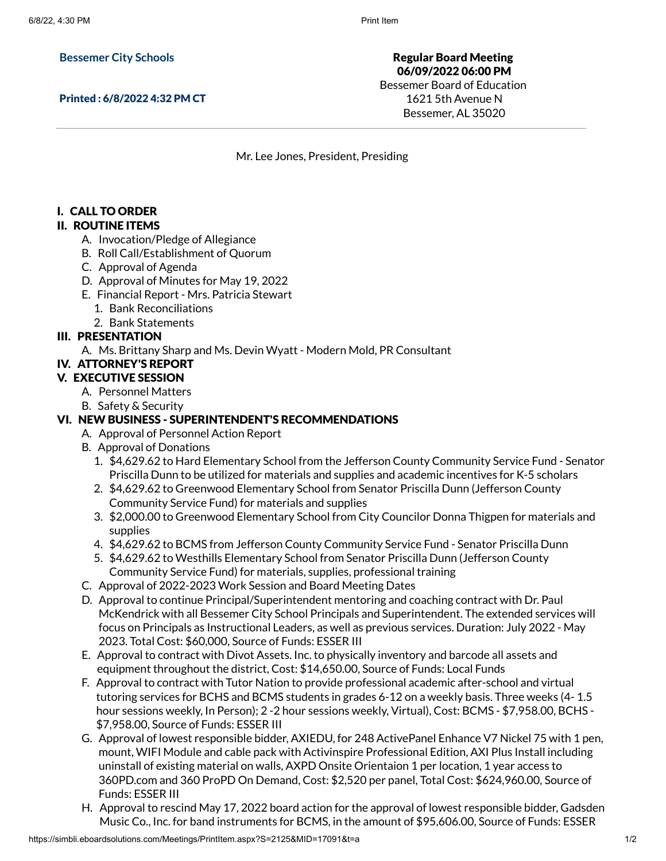#### **Bessemer City Schools**

Printed : 6/8/2022 4:32 PM CT

Regular Board Meeting 06/09/2022 06:00 PM Bessemer Board of Education 1621 5th Avenue N Bessemer, AL 35020

Mr. Lee Jones, President, Presiding

## I. CALL TO ORDER

#### II. ROUTINE ITEMS

- A. Invocation/Pledge of Allegiance
- B. Roll Call/Establishment of Quorum
- C. Approval of Agenda
- D. Approval of Minutes for May 19, 2022
- E. Financial Report Mrs. Patricia Stewart
	- 1. Bank Reconciliations
- 2. Bank Statements

#### III. PRESENTATION

A. Ms. Brittany Sharp and Ms. Devin Wyatt - Modern Mold, PR Consultant

# IV. ATTORNEY'S REPORT

## V. EXECUTIVE SESSION

- A. Personnel Matters
- B. Safety & Security

## VI. NEW BUSINESS - SUPERINTENDENT'S RECOMMENDATIONS

- A. Approval of Personnel Action Report
- B. Approval of Donations
	- 1. \$4,629.62 to Hard Elementary School from the Jefferson County Community Service Fund Senator Priscilla Dunn to be utilized for materials and supplies and academic incentives for K-5 scholars
	- 2. \$4,629.62 to Greenwood Elementary School from Senator Priscilla Dunn (Jefferson County Community Service Fund) for materials and supplies
	- 3. \$2,000.00 to Greenwood Elementary School from City Councilor Donna Thigpen for materials and supplies
	- 4. \$4,629.62 to BCMS from Jefferson County Community Service Fund Senator Priscilla Dunn
	- 5. \$4,629.62 to Westhills Elementary School from Senator Priscilla Dunn (Jefferson County Community Service Fund) for materials, supplies, professional training
- C. Approval of 2022-2023 Work Session and Board Meeting Dates
- D. Approval to continue Principal/Superintendent mentoring and coaching contract with Dr. Paul McKendrick with all Bessemer City School Principals and Superintendent. The extended services will focus on Principals as Instructional Leaders, as well as previous services. Duration: July 2022 - May 2023. Total Cost: \$60,000, Source of Funds: ESSER III
- E. Approval to contract with Divot Assets. Inc. to physically inventory and barcode all assets and equipment throughout the district, Cost: \$14,650.00, Source of Funds: Local Funds
- F. Approval to contract with Tutor Nation to provide professional academic after-school and virtual tutoring services for BCHS and BCMS students in grades 6-12 on a weekly basis. Three weeks (4- 1.5 hour sessions weekly, In Person); 2 -2 hour sessions weekly, Virtual), Cost: BCMS - \$7,958.00, BCHS - \$7,958.00, Source of Funds: ESSER III
- G. Approval of lowest responsible bidder, AXIEDU, for 248 ActivePanel Enhance V7 Nickel 75 with 1 pen, mount, WIFI Module and cable pack with Activinspire Professional Edition, AXI Plus Install including uninstall of existing material on walls, AXPD Onsite Orientaion 1 per location, 1 year access to 360PD.com and 360 ProPD On Demand, Cost: \$2,520 per panel, Total Cost: \$624,960.00, Source of Funds: ESSER III
- H. Approval to rescind May 17, 2022 board action for the approval of lowest responsible bidder, Gadsden Music Co., Inc. for band instruments for BCMS, in the amount of \$95,606.00, Source of Funds: ESSER